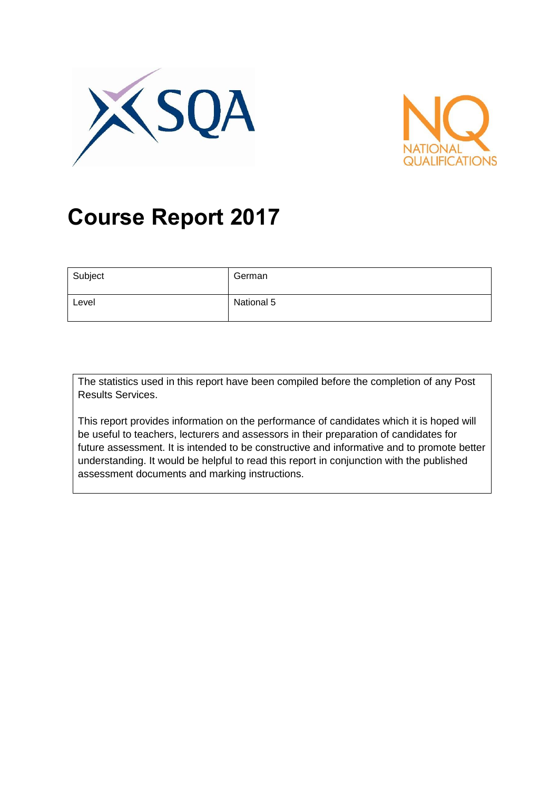



# **Course Report 2017**

| Subject | German     |
|---------|------------|
| Level   | National 5 |

The statistics used in this report have been compiled before the completion of any Post Results Services.

This report provides information on the performance of candidates which it is hoped will be useful to teachers, lecturers and assessors in their preparation of candidates for future assessment. It is intended to be constructive and informative and to promote better understanding. It would be helpful to read this report in conjunction with the published assessment documents and marking instructions.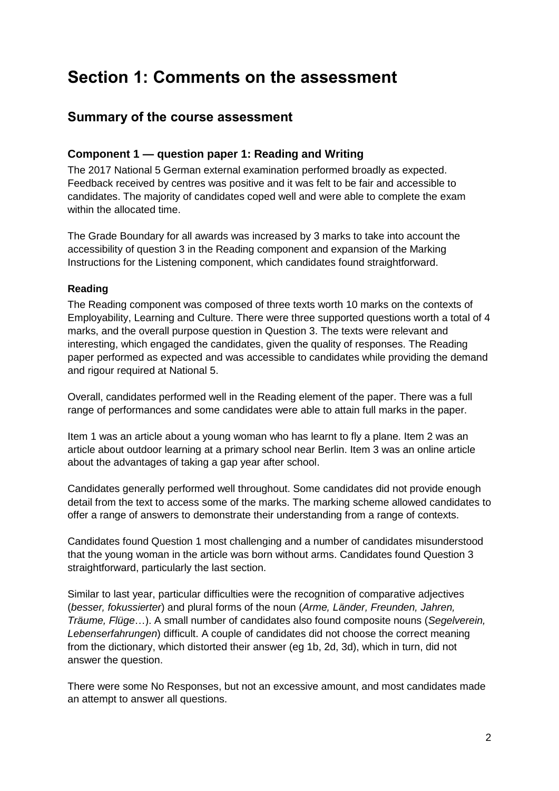# **Section 1: Comments on the assessment**

### **Summary of the course assessment**

#### **Component 1 — question paper 1: Reading and Writing**

The 2017 National 5 German external examination performed broadly as expected. Feedback received by centres was positive and it was felt to be fair and accessible to candidates. The majority of candidates coped well and were able to complete the exam within the allocated time.

The Grade Boundary for all awards was increased by 3 marks to take into account the accessibility of question 3 in the Reading component and expansion of the Marking Instructions for the Listening component, which candidates found straightforward.

#### **Reading**

The Reading component was composed of three texts worth 10 marks on the contexts of Employability, Learning and Culture. There were three supported questions worth a total of 4 marks, and the overall purpose question in Question 3. The texts were relevant and interesting, which engaged the candidates, given the quality of responses. The Reading paper performed as expected and was accessible to candidates while providing the demand and rigour required at National 5.

Overall, candidates performed well in the Reading element of the paper. There was a full range of performances and some candidates were able to attain full marks in the paper.

Item 1 was an article about a young woman who has learnt to fly a plane. Item 2 was an article about outdoor learning at a primary school near Berlin. Item 3 was an online article about the advantages of taking a gap year after school.

Candidates generally performed well throughout. Some candidates did not provide enough detail from the text to access some of the marks. The marking scheme allowed candidates to offer a range of answers to demonstrate their understanding from a range of contexts.

Candidates found Question 1 most challenging and a number of candidates misunderstood that the young woman in the article was born without arms. Candidates found Question 3 straightforward, particularly the last section.

Similar to last year, particular difficulties were the recognition of comparative adjectives (*besser, fokussierter*) and plural forms of the noun (*Arme, Länder, Freunden, Jahren, Träume, Flüge*…). A small number of candidates also found composite nouns (*Segelverein, Lebenserfahrungen*) difficult. A couple of candidates did not choose the correct meaning from the dictionary, which distorted their answer (eg 1b, 2d, 3d), which in turn, did not answer the question.

There were some No Responses, but not an excessive amount, and most candidates made an attempt to answer all questions.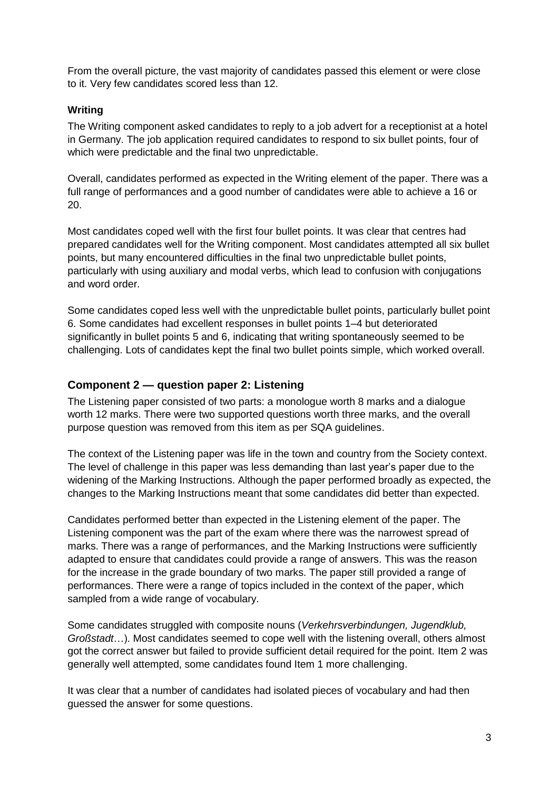From the overall picture, the vast majority of candidates passed this element or were close to it. Very few candidates scored less than 12.

#### **Writing**

The Writing component asked candidates to reply to a job advert for a receptionist at a hotel in Germany. The job application required candidates to respond to six bullet points, four of which were predictable and the final two unpredictable.

Overall, candidates performed as expected in the Writing element of the paper. There was a full range of performances and a good number of candidates were able to achieve a 16 or 20.

Most candidates coped well with the first four bullet points. It was clear that centres had prepared candidates well for the Writing component. Most candidates attempted all six bullet points, but many encountered difficulties in the final two unpredictable bullet points, particularly with using auxiliary and modal verbs, which lead to confusion with conjugations and word order.

Some candidates coped less well with the unpredictable bullet points, particularly bullet point 6. Some candidates had excellent responses in bullet points 1–4 but deteriorated significantly in bullet points 5 and 6, indicating that writing spontaneously seemed to be challenging. Lots of candidates kept the final two bullet points simple, which worked overall.

#### **Component 2 — question paper 2: Listening**

The Listening paper consisted of two parts: a monologue worth 8 marks and a dialogue worth 12 marks. There were two supported questions worth three marks, and the overall purpose question was removed from this item as per SQA guidelines.

The context of the Listening paper was life in the town and country from the Society context. The level of challenge in this paper was less demanding than last year's paper due to the widening of the Marking Instructions. Although the paper performed broadly as expected, the changes to the Marking Instructions meant that some candidates did better than expected.

Candidates performed better than expected in the Listening element of the paper. The Listening component was the part of the exam where there was the narrowest spread of marks. There was a range of performances, and the Marking Instructions were sufficiently adapted to ensure that candidates could provide a range of answers. This was the reason for the increase in the grade boundary of two marks. The paper still provided a range of performances. There were a range of topics included in the context of the paper, which sampled from a wide range of vocabulary.

Some candidates struggled with composite nouns (*Verkehrsverbindungen, Jugendklub, Großstadt*…). Most candidates seemed to cope well with the listening overall, others almost got the correct answer but failed to provide sufficient detail required for the point. Item 2 was generally well attempted, some candidates found Item 1 more challenging.

It was clear that a number of candidates had isolated pieces of vocabulary and had then guessed the answer for some questions.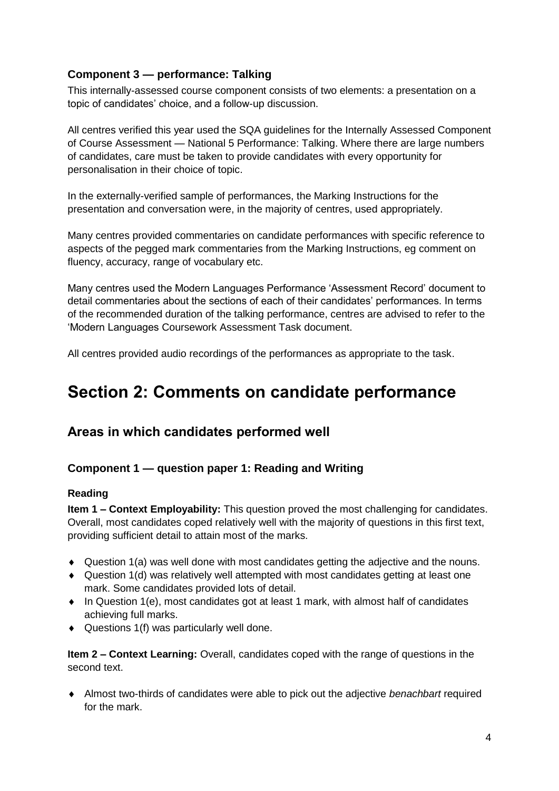### **Component 3 — performance: Talking**

This internally-assessed course component consists of two elements: a presentation on a topic of candidates' choice, and a follow-up discussion.

All centres verified this year used the SQA guidelines for the Internally Assessed Component of Course Assessment — National 5 Performance: Talking. Where there are large numbers of candidates, care must be taken to provide candidates with every opportunity for personalisation in their choice of topic.

In the externally-verified sample of performances, the Marking Instructions for the presentation and conversation were, in the majority of centres, used appropriately.

Many centres provided commentaries on candidate performances with specific reference to aspects of the pegged mark commentaries from the Marking Instructions, eg comment on fluency, accuracy, range of vocabulary etc.

Many centres used the Modern Languages Performance 'Assessment Record' document to detail commentaries about the sections of each of their candidates' performances. In terms of the recommended duration of the talking performance, centres are advised to refer to the 'Modern Languages Coursework Assessment Task document.

All centres provided audio recordings of the performances as appropriate to the task.

# **Section 2: Comments on candidate performance**

# **Areas in which candidates performed well**

#### **Component 1 — question paper 1: Reading and Writing**

#### **Reading**

**Item 1 – Context Employability:** This question proved the most challenging for candidates. Overall, most candidates coped relatively well with the majority of questions in this first text, providing sufficient detail to attain most of the marks.

- Question 1(a) was well done with most candidates getting the adjective and the nouns.
- Question 1(d) was relatively well attempted with most candidates getting at least one mark. Some candidates provided lots of detail.
- $\bullet$  In Question 1(e), most candidates got at least 1 mark, with almost half of candidates achieving full marks.
- Questions 1(f) was particularly well done.

**Item 2 – Context Learning:** Overall, candidates coped with the range of questions in the second text.

 Almost two-thirds of candidates were able to pick out the adjective *benachbart* required for the mark.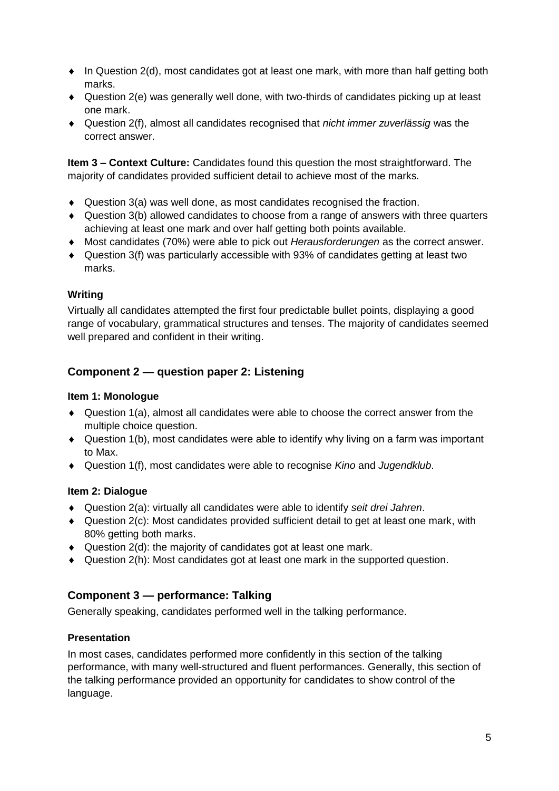- $\bullet$  In Question 2(d), most candidates got at least one mark, with more than half getting both marks.
- Question 2(e) was generally well done, with two-thirds of candidates picking up at least one mark.
- Question 2(f), almost all candidates recognised that *nicht immer zuverlässig* was the correct answer.

**Item 3 – Context Culture:** Candidates found this question the most straightforward. The majority of candidates provided sufficient detail to achieve most of the marks.

- $\bullet$  Question 3(a) was well done, as most candidates recognised the fraction.
- Question 3(b) allowed candidates to choose from a range of answers with three quarters achieving at least one mark and over half getting both points available.
- Most candidates (70%) were able to pick out *Herausforderungen* as the correct answer.
- Question 3(f) was particularly accessible with 93% of candidates getting at least two marks.

#### **Writing**

Virtually all candidates attempted the first four predictable bullet points, displaying a good range of vocabulary, grammatical structures and tenses. The majority of candidates seemed well prepared and confident in their writing.

### **Component 2 — question paper 2: Listening**

#### **Item 1: Monologue**

- Question 1(a), almost all candidates were able to choose the correct answer from the multiple choice question.
- Question 1(b), most candidates were able to identify why living on a farm was important to Max.
- Question 1(f), most candidates were able to recognise *Kino* and *Jugendklub*.

#### **Item 2: Dialogue**

- Question 2(a): virtually all candidates were able to identify *seit drei Jahren*.
- Question 2(c): Most candidates provided sufficient detail to get at least one mark, with 80% getting both marks.
- Question 2(d): the majority of candidates got at least one mark.
- Question 2(h): Most candidates got at least one mark in the supported question.

#### **Component 3 — performance: Talking**

Generally speaking, candidates performed well in the talking performance.

#### **Presentation**

In most cases, candidates performed more confidently in this section of the talking performance, with many well-structured and fluent performances. Generally, this section of the talking performance provided an opportunity for candidates to show control of the language.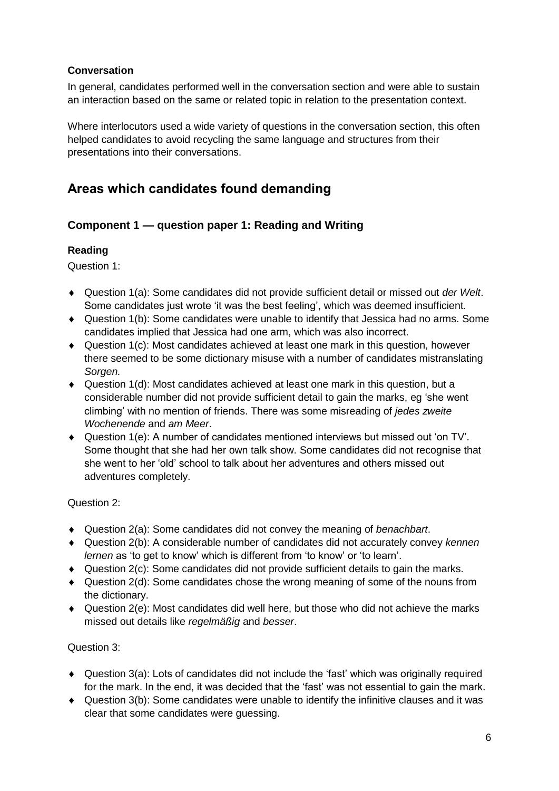#### **Conversation**

In general, candidates performed well in the conversation section and were able to sustain an interaction based on the same or related topic in relation to the presentation context.

Where interlocutors used a wide variety of questions in the conversation section, this often helped candidates to avoid recycling the same language and structures from their presentations into their conversations.

# **Areas which candidates found demanding**

#### **Component 1 — question paper 1: Reading and Writing**

#### **Reading**

Question 1:

- Question 1(a): Some candidates did not provide sufficient detail or missed out *der Welt*. Some candidates just wrote 'it was the best feeling', which was deemed insufficient.
- Question 1(b): Some candidates were unable to identify that Jessica had no arms. Some candidates implied that Jessica had one arm, which was also incorrect.
- Question 1(c): Most candidates achieved at least one mark in this question, however there seemed to be some dictionary misuse with a number of candidates mistranslating *Sorgen.*
- Question 1(d): Most candidates achieved at least one mark in this question, but a considerable number did not provide sufficient detail to gain the marks, eg 'she went climbing' with no mention of friends. There was some misreading of *jedes zweite Wochenende* and *am Meer*.
- Question 1(e): A number of candidates mentioned interviews but missed out 'on TV'. Some thought that she had her own talk show. Some candidates did not recognise that she went to her 'old' school to talk about her adventures and others missed out adventures completely.

#### Question 2:

- Question 2(a): Some candidates did not convey the meaning of *benachbart*.
- Question 2(b): A considerable number of candidates did not accurately convey *kennen lernen* as 'to get to know' which is different from 'to know' or 'to learn'.
- $\blacklozenge$  Question 2(c): Some candidates did not provide sufficient details to gain the marks.
- Question 2(d): Some candidates chose the wrong meaning of some of the nouns from the dictionary.
- $\triangleq$  Question 2(e): Most candidates did well here, but those who did not achieve the marks missed out details like *regelmäßig* and *besser*.

#### Question 3:

- Question 3(a): Lots of candidates did not include the 'fast' which was originally required for the mark. In the end, it was decided that the 'fast' was not essential to gain the mark.
- Question 3(b): Some candidates were unable to identify the infinitive clauses and it was clear that some candidates were guessing.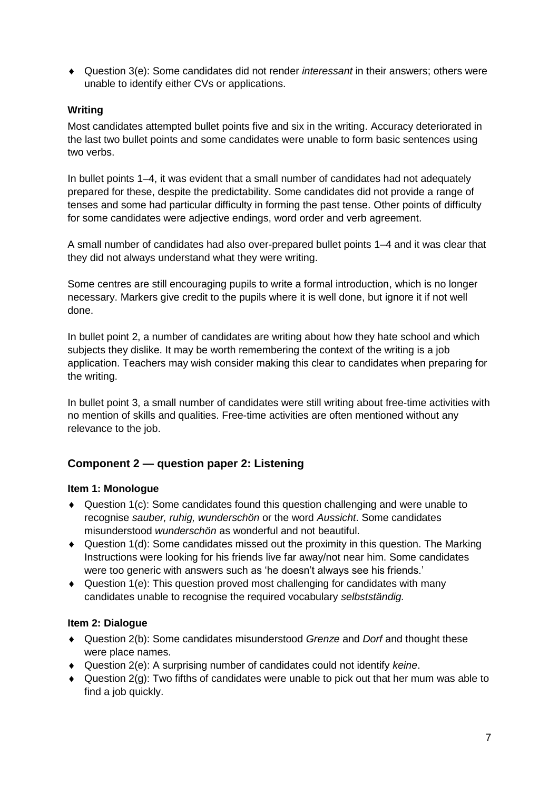Question 3(e): Some candidates did not render *interessant* in their answers; others were unable to identify either CVs or applications.

#### **Writing**

Most candidates attempted bullet points five and six in the writing. Accuracy deteriorated in the last two bullet points and some candidates were unable to form basic sentences using two verbs.

In bullet points 1–4, it was evident that a small number of candidates had not adequately prepared for these, despite the predictability. Some candidates did not provide a range of tenses and some had particular difficulty in forming the past tense. Other points of difficulty for some candidates were adjective endings, word order and verb agreement.

A small number of candidates had also over-prepared bullet points 1–4 and it was clear that they did not always understand what they were writing.

Some centres are still encouraging pupils to write a formal introduction, which is no longer necessary. Markers give credit to the pupils where it is well done, but ignore it if not well done.

In bullet point 2, a number of candidates are writing about how they hate school and which subjects they dislike. It may be worth remembering the context of the writing is a job application. Teachers may wish consider making this clear to candidates when preparing for the writing.

In bullet point 3, a small number of candidates were still writing about free-time activities with no mention of skills and qualities. Free-time activities are often mentioned without any relevance to the job.

#### **Component 2 — question paper 2: Listening**

#### **Item 1: Monologue**

- Question 1(c): Some candidates found this question challenging and were unable to recognise *sauber, ruhig, wunderschön* or the word *Aussicht*. Some candidates misunderstood *wunderschön* as wonderful and not beautiful.
- $\bullet$  Question 1(d): Some candidates missed out the proximity in this question. The Marking Instructions were looking for his friends live far away/not near him. Some candidates were too generic with answers such as 'he doesn't always see his friends.'
- $\triangleq$  Question 1(e): This question proved most challenging for candidates with many candidates unable to recognise the required vocabulary *selbstständig.*

#### **Item 2: Dialogue**

- Question 2(b): Some candidates misunderstood *Grenze* and *Dorf* and thought these were place names.
- Question 2(e): A surprising number of candidates could not identify *keine*.
- $\triangleq$  Question 2(g): Two fifths of candidates were unable to pick out that her mum was able to find a job quickly.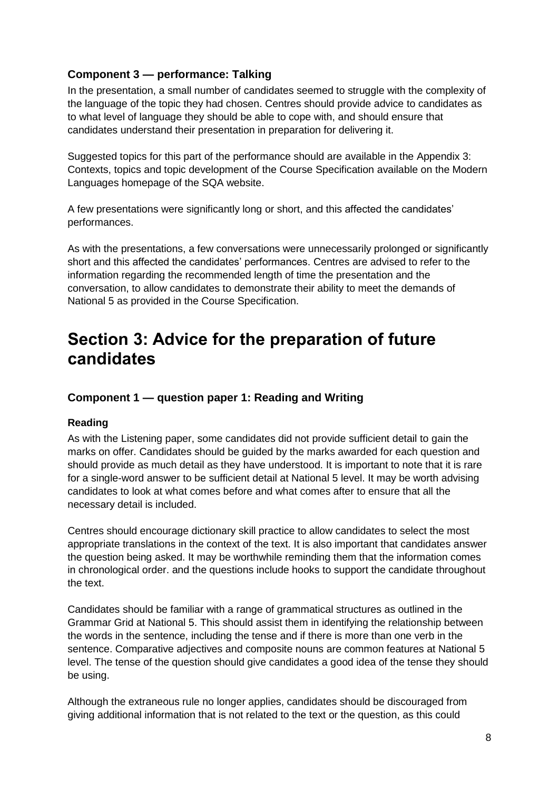#### **Component 3 — performance: Talking**

In the presentation, a small number of candidates seemed to struggle with the complexity of the language of the topic they had chosen. Centres should provide advice to candidates as to what level of language they should be able to cope with, and should ensure that candidates understand their presentation in preparation for delivering it.

Suggested topics for this part of the performance should are available in the Appendix 3: Contexts, topics and topic development of the Course Specification available on the Modern Languages homepage of the SQA website.

A few presentations were significantly long or short, and this affected the candidates' performances.

As with the presentations, a few conversations were unnecessarily prolonged or significantly short and this affected the candidates' performances. Centres are advised to refer to the information regarding the recommended length of time the presentation and the conversation, to allow candidates to demonstrate their ability to meet the demands of National 5 as provided in the Course Specification.

# **Section 3: Advice for the preparation of future candidates**

#### **Component 1 — question paper 1: Reading and Writing**

#### **Reading**

As with the Listening paper, some candidates did not provide sufficient detail to gain the marks on offer. Candidates should be guided by the marks awarded for each question and should provide as much detail as they have understood. It is important to note that it is rare for a single-word answer to be sufficient detail at National 5 level. It may be worth advising candidates to look at what comes before and what comes after to ensure that all the necessary detail is included.

Centres should encourage dictionary skill practice to allow candidates to select the most appropriate translations in the context of the text. It is also important that candidates answer the question being asked. It may be worthwhile reminding them that the information comes in chronological order. and the questions include hooks to support the candidate throughout the text.

Candidates should be familiar with a range of grammatical structures as outlined in the Grammar Grid at National 5. This should assist them in identifying the relationship between the words in the sentence, including the tense and if there is more than one verb in the sentence. Comparative adjectives and composite nouns are common features at National 5 level. The tense of the question should give candidates a good idea of the tense they should be using.

Although the extraneous rule no longer applies, candidates should be discouraged from giving additional information that is not related to the text or the question, as this could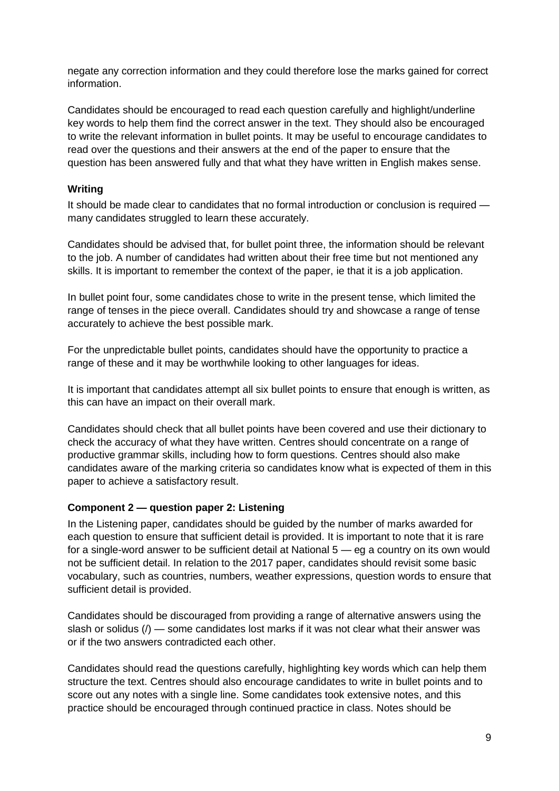negate any correction information and they could therefore lose the marks gained for correct information.

Candidates should be encouraged to read each question carefully and highlight/underline key words to help them find the correct answer in the text. They should also be encouraged to write the relevant information in bullet points. It may be useful to encourage candidates to read over the questions and their answers at the end of the paper to ensure that the question has been answered fully and that what they have written in English makes sense.

#### **Writing**

It should be made clear to candidates that no formal introduction or conclusion is required many candidates struggled to learn these accurately.

Candidates should be advised that, for bullet point three, the information should be relevant to the job. A number of candidates had written about their free time but not mentioned any skills. It is important to remember the context of the paper, ie that it is a job application.

In bullet point four, some candidates chose to write in the present tense, which limited the range of tenses in the piece overall. Candidates should try and showcase a range of tense accurately to achieve the best possible mark.

For the unpredictable bullet points, candidates should have the opportunity to practice a range of these and it may be worthwhile looking to other languages for ideas.

It is important that candidates attempt all six bullet points to ensure that enough is written, as this can have an impact on their overall mark.

Candidates should check that all bullet points have been covered and use their dictionary to check the accuracy of what they have written. Centres should concentrate on a range of productive grammar skills, including how to form questions. Centres should also make candidates aware of the marking criteria so candidates know what is expected of them in this paper to achieve a satisfactory result.

#### **Component 2 — question paper 2: Listening**

In the Listening paper, candidates should be guided by the number of marks awarded for each question to ensure that sufficient detail is provided. It is important to note that it is rare for a single-word answer to be sufficient detail at National 5 — eg a country on its own would not be sufficient detail. In relation to the 2017 paper, candidates should revisit some basic vocabulary, such as countries, numbers, weather expressions, question words to ensure that sufficient detail is provided.

Candidates should be discouraged from providing a range of alternative answers using the slash or solidus  $($ )  $\rightarrow$  some candidates lost marks if it was not clear what their answer was or if the two answers contradicted each other.

Candidates should read the questions carefully, highlighting key words which can help them structure the text. Centres should also encourage candidates to write in bullet points and to score out any notes with a single line. Some candidates took extensive notes, and this practice should be encouraged through continued practice in class. Notes should be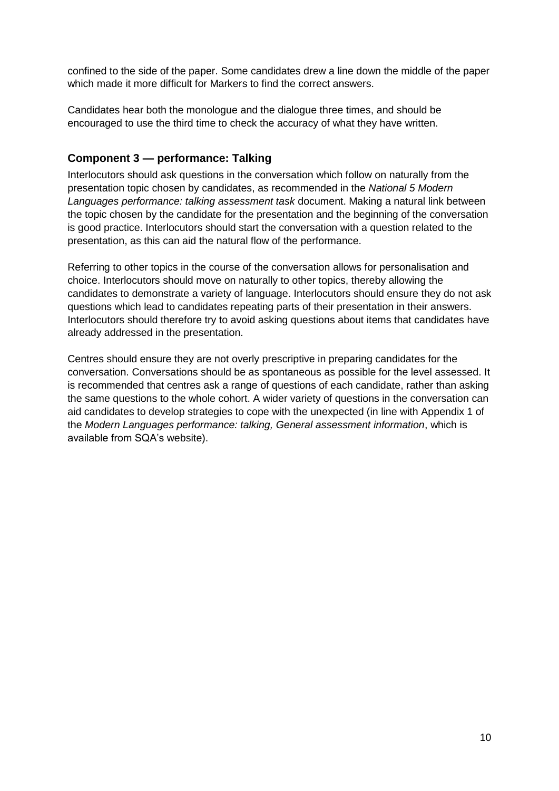confined to the side of the paper. Some candidates drew a line down the middle of the paper which made it more difficult for Markers to find the correct answers.

Candidates hear both the monologue and the dialogue three times, and should be encouraged to use the third time to check the accuracy of what they have written.

#### **Component 3 — performance: Talking**

Interlocutors should ask questions in the conversation which follow on naturally from the presentation topic chosen by candidates, as recommended in the *National 5 Modern Languages performance: talking assessment task* document. Making a natural link between the topic chosen by the candidate for the presentation and the beginning of the conversation is good practice. Interlocutors should start the conversation with a question related to the presentation, as this can aid the natural flow of the performance.

Referring to other topics in the course of the conversation allows for personalisation and choice. Interlocutors should move on naturally to other topics, thereby allowing the candidates to demonstrate a variety of language. Interlocutors should ensure they do not ask questions which lead to candidates repeating parts of their presentation in their answers. Interlocutors should therefore try to avoid asking questions about items that candidates have already addressed in the presentation.

Centres should ensure they are not overly prescriptive in preparing candidates for the conversation. Conversations should be as spontaneous as possible for the level assessed. It is recommended that centres ask a range of questions of each candidate, rather than asking the same questions to the whole cohort. A wider variety of questions in the conversation can aid candidates to develop strategies to cope with the unexpected (in line with Appendix 1 of the *Modern Languages performance: talking, General assessment information*, which is available from SQA's website).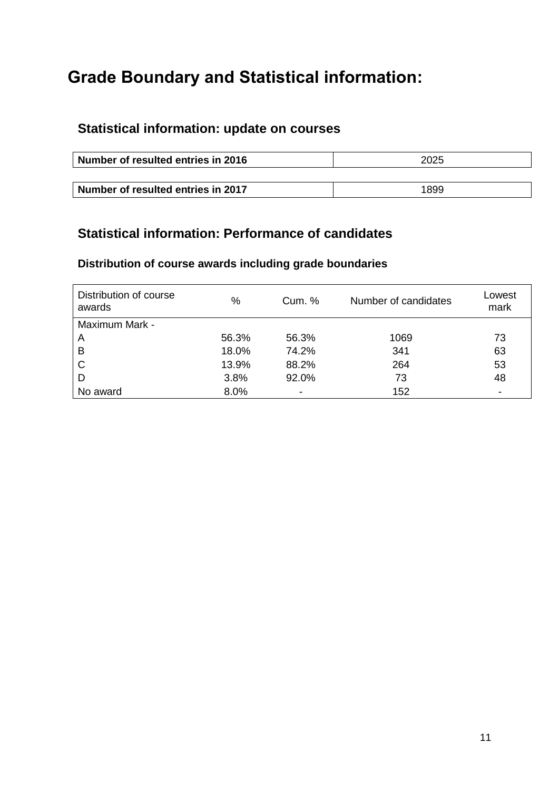# **Grade Boundary and Statistical information:**

# **Statistical information: update on courses**

| Number of resulted entries in 2016 | 2025 |
|------------------------------------|------|
|                                    |      |
| Number of resulted entries in 2017 | 1899 |

# **Statistical information: Performance of candidates**

### **Distribution of course awards including grade boundaries**

| Distribution of course<br>awards | %     | Cum. % | Number of candidates | Lowest<br>mark           |
|----------------------------------|-------|--------|----------------------|--------------------------|
| Maximum Mark -                   |       |        |                      |                          |
| A                                | 56.3% | 56.3%  | 1069                 | 73                       |
| B                                | 18.0% | 74.2%  | 341                  | 63                       |
| C                                | 13.9% | 88.2%  | 264                  | 53                       |
| D                                | 3.8%  | 92.0%  | 73                   | 48                       |
| No award                         | 8.0%  | -      | 152                  | $\overline{\phantom{0}}$ |